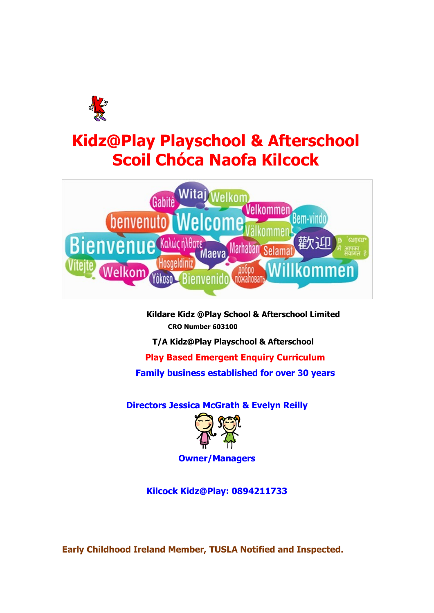

# **Kidz@Play Playschool & Afterschool Scoil Chóca Naofa Kilcock**



**Kildare Kidz @Play School & Afterschool Limited CRO Number 603100** 

**T/A Kidz@Play Playschool & Afterschool** 

**Play Based Emergent Enquiry Curriculum Family business established for over 30 years**

**Directors Jessica McGrath & Evelyn Reilly** 



**Owner/Managers**

**Kilcock Kidz@Play: 0894211733**

**Early Childhood Ireland Member, TUSLA Notified and Inspected.**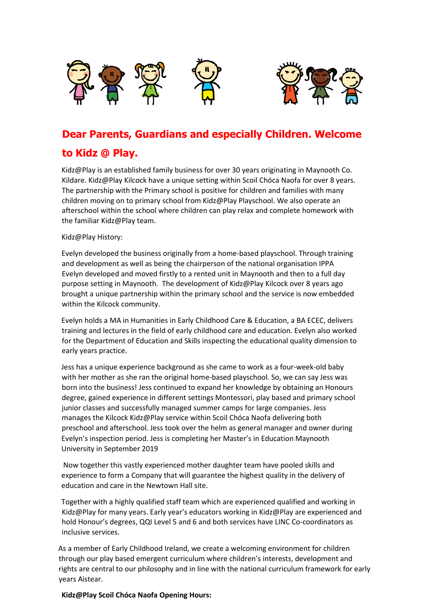

# **Dear Parents, Guardians and especially Children. Welcome**

# **to Kidz @ Play.**

Kidz@Play is an established family business for over 30 years originating in Maynooth Co. Kildare. Kidz@Play Kilcock have a unique setting within Scoil Chóca Naofa for over 8 years. The partnership with the Primary school is positive for children and families with many children moving on to primary school from Kidz@Play Playschool. We also operate an afterschool within the school where children can play relax and complete homework with the familiar Kidz@Play team.

#### Kidz@Play History:

Evelyn developed the business originally from a home-based playschool. Through training and development as well as being the chairperson of the national organisation IPPA Evelyn developed and moved firstly to a rented unit in Maynooth and then to a full day purpose setting in Maynooth. The development of Kidz@Play Kilcock over 8 years ago brought a unique partnership within the primary school and the service is now embedded within the Kilcock community.

Evelyn holds a MA in Humanities in Early Childhood Care & Education, a BA ECEC, delivers training and lectures in the field of early childhood care and education. Evelyn also worked for the Department of Education and Skills inspecting the educational quality dimension to early years practice.

Jess has a unique experience background as she came to work as a four-week-old baby with her mother as she ran the original home-based playschool. So, we can say Jess was born into the business! Jess continued to expand her knowledge by obtaining an Honours degree, gained experience in different settings Montessori, play based and primary school junior classes and successfully managed summer camps for large companies. Jess manages the Kilcock Kidz@Play service within Scoil Chóca Naofa delivering both preschool and afterschool. Jess took over the helm as general manager and owner during Evelyn's inspection period. Jess is completing her Master's in Education Maynooth University in September 2019

Now together this vastly experienced mother daughter team have pooled skills and experience to form a Company that will guarantee the highest quality in the delivery of education and care in the Newtown Hall site.

Together with a highly qualified staff team which are experienced qualified and working in Kidz@Play for many years. Early year's educators working in Kidz@Play are experienced and hold Honour's degrees, QQI Level 5 and 6 and both services have LINC Co-coordinators as inclusive services.

As a member of Early Childhood Ireland, we create a welcoming environment for children through our play based emergent curriculum where children's interests, development and rights are central to our philosophy and in line with the national curriculum framework for early years Aistear.

#### **Kidz@Play Scoil Chóca Naofa Opening Hours:**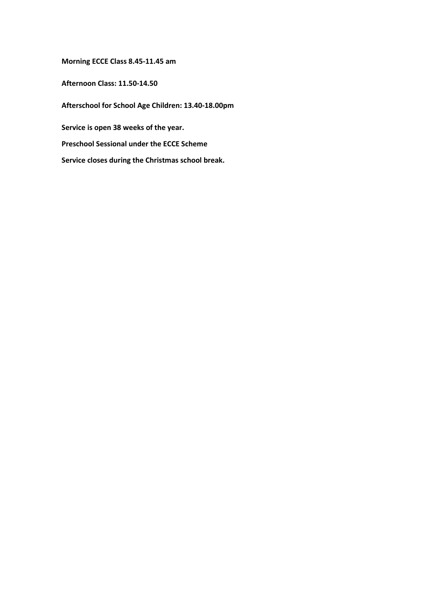**Morning ECCE Class 8.45-11.45 am** 

**Afternoon Class: 11.50-14.50** 

**Afterschool for School Age Children: 13.40-18.00pm** 

**Service is open 38 weeks of the year.** 

**Preschool Sessional under the ECCE Scheme** 

**Service closes during the Christmas school break.**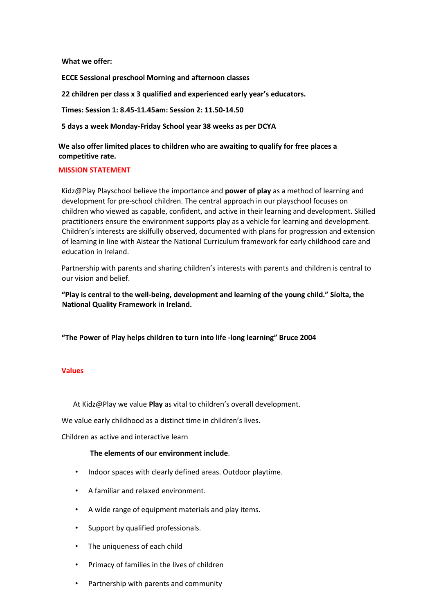**What we offer:** 

**ECCE Sessional preschool Morning and afternoon classes** 

**22 children per class x 3 qualified and experienced early year's educators.** 

**Times: Session 1: 8.45-11.45am: Session 2: 11.50-14.50** 

**5 days a week Monday-Friday School year 38 weeks as per DCYA** 

**We also offer limited places to children who are awaiting to qualify for free places a competitive rate.** 

#### **MISSION STATEMENT**

Kidz@Play Playschool believe the importance and **power of play** as a method of learning and development for pre-school children. The central approach in our playschool focuses on children who viewed as capable, confident, and active in their learning and development. Skilled practitioners ensure the environment supports play as a vehicle for learning and development. Children's interests are skilfully observed, documented with plans for progression and extension of learning in line with Aistear the National Curriculum framework for early childhood care and education in Ireland.

Partnership with parents and sharing children's interests with parents and children is central to our vision and belief.

**"Play is central to the well-being, development and learning of the young child." Síolta, the National Quality Framework in Ireland.** 

**"The Power of Play helps children to turn into life -long learning" Bruce 2004** 

#### **Values**

At Kidz@Play we value **Play** as vital to children's overall development.

We value early childhood as a distinct time in children's lives.

Children as active and interactive learn

#### **The elements of our environment include**.

- Indoor spaces with clearly defined areas. Outdoor playtime.
- A familiar and relaxed environment.
- A wide range of equipment materials and play items.
- Support by qualified professionals.
- The uniqueness of each child
- Primacy of families in the lives of children
- Partnership with parents and community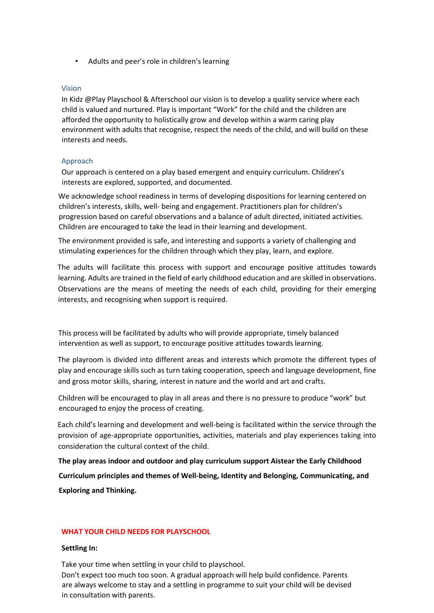• Adults and peer's role in children's learning

#### Vision

In Kidz @Play Playschool & Afterschool our vision is to develop a quality service where each child is valued and nurtured. Play is important "Work" for the child and the children are afforded the opportunity to holistically grow and develop within a warm caring play environment with adults that recognise, respect the needs of the child, and will build on these interests and needs.

#### Approach

Our approach is centered on a play based emergent and enquiry curriculum. Children's interests are explored, supported, and documented.

We acknowledge school readiness in terms of developing dispositions for learning centered on children's interests, skills, well- being and engagement. Practitioners plan for children's progression based on careful observations and a balance of adult directed, initiated activities. Children are encouraged to take the lead in their learning and development.

The environment provided is safe, and interesting and supports a variety of challenging and stimulating experiences for the children through which they play, learn, and explore.

The adults will facilitate this process with support and encourage positive attitudes towards learning. Adults are trained in the field of early childhood education and are skilled in observations. Observations are the means of meeting the needs of each child, providing for their emerging interests, and recognising when support is required.

This process will be facilitated by adults who will provide appropriate, timely balanced intervention as well as support, to encourage positive attitudes towards learning.

The playroom is divided into different areas and interests which promote the different types of play and encourage skills such as turn taking cooperation, speech and language development, fine and gross motor skills, sharing, interest in nature and the world and art and crafts.

Children will be encouraged to play in all areas and there is no pressure to produce "work" but encouraged to enjoy the process of creating.

Each child's learning and development and well-being is facilitated within the service through the provision of age-appropriate opportunities, activities, materials and play experiences taking into consideration the cultural context of the child.

**The play areas indoor and outdoor and play curriculum support Aistear the Early Childhood Curriculum principles and themes of Well-being, Identity and Belonging, Communicating, and Exploring and Thinking.** 

#### **WHAT YOUR CHILD NEEDS FOR PLAYSCHOOL**

#### **Settling In:**

Take your time when settling in your child to playschool.

Don't expect too much too soon. A gradual approach will help build confidence. Parents are always welcome to stay and a settling in programme to suit your child will be devised in consultation with parents.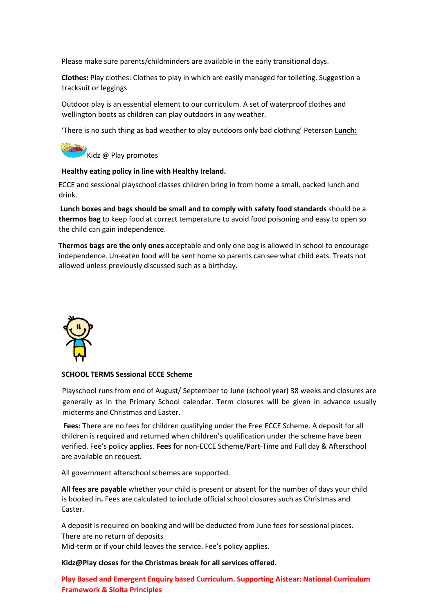Please make sure parents/childminders are available in the early transitional days.

**Clothes:** Play clothes: Clothes to play in which are easily managed for toileting. Suggestion a tracksuit or leggings

Outdoor play is an essential element to our curriculum. A set of waterproof clothes and wellington boots as children can play outdoors in any weather.

'There is no such thing as bad weather to play outdoors only bad clothing' Peterson **Lunch:**

Kidz @ Play promotes

#### **Healthy eating policy in line with Healthy Ireland.**

ECCE and sessional playschool classes children bring in from home a small, packed lunch and drink.

**Lunch boxes and bags should be small and to comply with safety food standards** should be a **thermos bag** to keep food at correct temperature to avoid food poisoning and easy to open so the child can gain independence.

**Thermos bags are the only ones** acceptable and only one bag is allowed in school to encourage independence. Un-eaten food will be sent home so parents can see what child eats. Treats not allowed unless previously discussed such as a birthday.



#### **SCHOOL TERMS Sessional ECCE Scheme**

Playschool runs from end of August/ September to June (school year) 38 weeks and closures are generally as in the Primary School calendar. Term closures will be given in advance usually midterms and Christmas and Easter.

**Fees:** There are no fees for children qualifying under the Free ECCE Scheme. A deposit for all children is required and returned when children's qualification under the scheme have been verified. Fee's policy applies. **Fees** for non-ECCE Scheme/Part-Time and Full day & Afterschool are available on request.

All government afterschool schemes are supported.

**All fees are payable** whether your child is present or absent for the number of days your child is booked in**.** Fees are calculated to include official school closures such as Christmas and Easter.

A deposit is required on booking and will be deducted from June fees for sessional places. There are no return of deposits

Mid-term or if your child leaves the service. Fee's policy applies.

**Kidz@Play closes for the Christmas break for all services offered.** 

**Play Based and Emergent Enquiry based Curriculum. Supporting Aistear: National Curriculum Framework & Siolta Principles**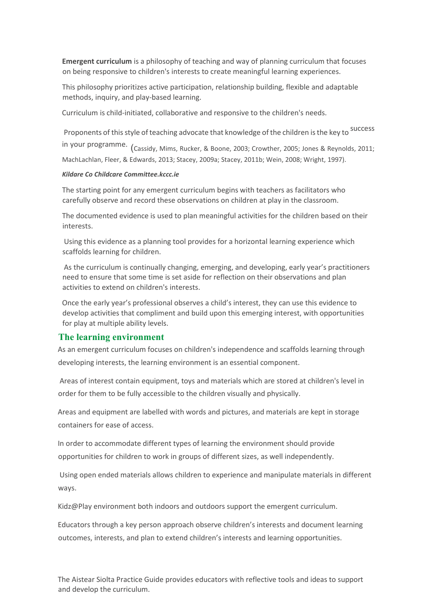**Emergent curriculum** is a philosophy of teaching and way of planning curriculum that focuses on being responsive to children's interests to create meaningful learning experiences.

This philosophy prioritizes active participation, relationship building, flexible and adaptable methods, inquiry, and play-based learning.

Curriculum is child-initiated, collaborative and responsive to the children's needs.

Proponents of this style of teaching advocate that knowledge of the children is the key to <sup>Success</sup> in your programme. (Cassidy, Mims, Rucker, & Boone, 2003; Crowther, 2005; Jones & Reynolds, 2011; MachLachlan, Fleer, & Edwards, 2013; Stacey, 2009a; Stacey, 2011b; Wein, 2008; Wright, 1997).

#### *Kildare Co Childcare Committee.kccc.ie*

The starting point for any emergent curriculum begins with teachers as facilitators who carefully observe and record these observations on children at play in the classroom.

The documented evidence is used to plan meaningful activities for the children based on their interests.

Using this evidence as a planning tool provides for a horizontal learning experience which scaffolds learning for children.

As the curriculum is continually changing, emerging, and developing, early year's practitioners need to ensure that some time is set aside for reflection on their observations and plan activities to extend on children's interests.

Once the early year's professional observes a child's interest, they can use this evidence to develop activities that compliment and build upon this emerging interest, with opportunities for play at multiple ability levels.

#### **The learning environment**

As an emergent curriculum focuses on children's independence and scaffolds learning through developing interests, the learning environment is an essential component.

Areas of interest contain equipment, toys and materials which are stored at children's level in order for them to be fully accessible to the children visually and physically.

Areas and equipment are labelled with words and pictures, and materials are kept in storage containers for ease of access.

In order to accommodate different types of learning the environment should provide opportunities for children to work in groups of different sizes, as well independently.

Using open ended materials allows children to experience and manipulate materials in different ways.

Kidz@Play environment both indoors and outdoors support the emergent curriculum.

Educators through a key person approach observe children's interests and document learning outcomes, interests, and plan to extend children's interests and learning opportunities.

The Aistear Siolta Practice Guide provides educators with reflective tools and ideas to support and develop the curriculum.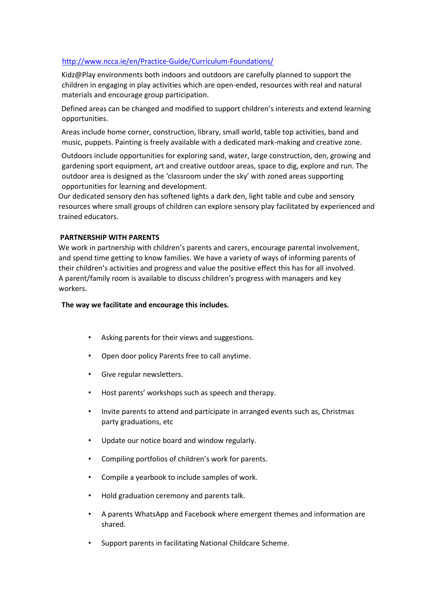#### <http://www.ncca.ie/en/Practice-Guide/Curriculum-Foundations/>

Kidz@Play environments both indoors and outdoors are carefully planned to support the children in engaging in play activities which are open-ended, resources with real and natural materials and encourage group participation.

Defined areas can be changed and modified to support children's interests and extend learning opportunities.

Areas include home corner, construction, library, small world, table top activities, band and music, puppets. Painting is freely available with a dedicated mark-making and creative zone.

Outdoors include opportunities for exploring sand, water, large construction, den, growing and gardening sport equipment, art and creative outdoor areas, space to dig, explore and run. The outdoor area is designed as the 'classroom under the sky' with zoned areas supporting opportunities for learning and development.

Our dedicated sensory den has softened lights a dark den, light table and cube and sensory resources where small groups of children can explore sensory play facilitated by experienced and trained educators.

#### **PARTNERSHIP WITH PARENTS**

We work in partnership with children's parents and carers, encourage parental involvement, and spend time getting to know families. We have a variety of ways of informing parents of their children's activities and progress and value the positive effect this has for all involved. A parent/family room is available to discuss children's progress with managers and key workers.

#### **The way we facilitate and encourage this includes.**

- Asking parents for their views and suggestions.
- Open door policy Parents free to call anytime.
- Give regular newsletters.
- Host parents' workshops such as speech and therapy.
- Invite parents to attend and participate in arranged events such as, Christmas party graduations, etc
- Update our notice board and window regularly.
- Compiling portfolios of children's work for parents.
- Compile a yearbook to include samples of work.
- Hold graduation ceremony and parents talk.
- A parents WhatsApp and Facebook where emergent themes and information are shared.
- Support parents in facilitating National Childcare Scheme.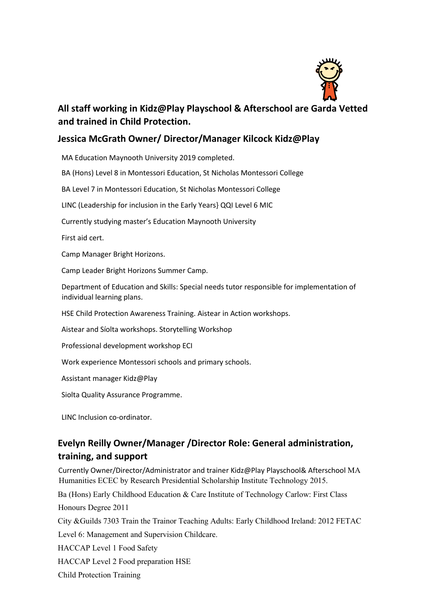

# **All staff working in Kidz@Play Playschool & Afterschool are Garda Vetted and trained in Child Protection.**

# **Jessica McGrath Owner/ Director/Manager Kilcock Kidz@Play**

MA Education Maynooth University 2019 completed.

BA (Hons) Level 8 in Montessori Education, St Nicholas Montessori College

BA Level 7 in Montessori Education, St Nicholas Montessori College

LINC (Leadership for inclusion in the Early Years} QQI Level 6 MIC

Currently studying master's Education Maynooth University

First aid cert.

Camp Manager Bright Horizons.

Camp Leader Bright Horizons Summer Camp.

Department of Education and Skills: Special needs tutor responsible for implementation of individual learning plans.

HSE Child Protection Awareness Training. Aistear in Action workshops.

Aistear and Síolta workshops. Storytelling Workshop

Professional development workshop ECI

Work experience Montessori schools and primary schools.

Assistant manager Kidz@Play

Siolta Quality Assurance Programme.

LINC Inclusion co-ordinator.

# **Evelyn Reilly Owner/Manager /Director Role: General administration, training, and support**

Currently Owner/Director/Administrator and trainer Kidz@Play Playschool& Afterschool MA Humanities ECEC by Research Presidential Scholarship Institute Technology 2015.

Ba (Hons) Early Childhood Education & Care Institute of Technology Carlow: First Class Honours Degree 2011

City &Guilds 7303 Train the Trainor Teaching Adults: Early Childhood Ireland: 2012 FETAC

Level 6: Management and Supervision Childcare.

HACCAP Level 1 Food Safety

HACCAP Level 2 Food preparation HSE

Child Protection Training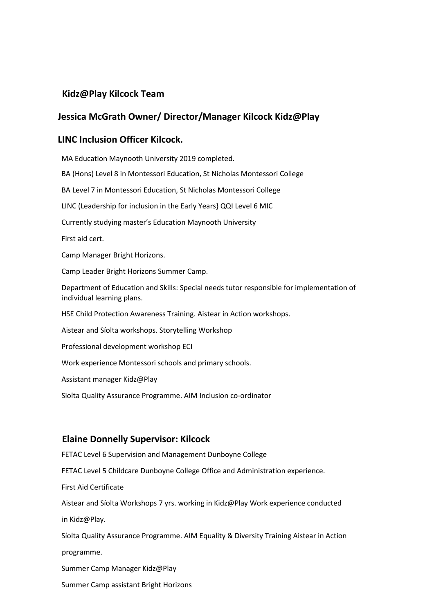# **Kidz@Play Kilcock Team**

# **Jessica McGrath Owner/ Director/Manager Kilcock Kidz@Play**

### **LINC Inclusion Officer Kilcock.**

MA Education Maynooth University 2019 completed. BA (Hons) Level 8 in Montessori Education, St Nicholas Montessori College BA Level 7 in Montessori Education, St Nicholas Montessori College LINC (Leadership for inclusion in the Early Years} QQI Level 6 MIC Currently studying master's Education Maynooth University First aid cert. Camp Manager Bright Horizons. Camp Leader Bright Horizons Summer Camp. Department of Education and Skills: Special needs tutor responsible for implementation of individual learning plans. HSE Child Protection Awareness Training. Aistear in Action workshops. Aistear and Síolta workshops. Storytelling Workshop Professional development workshop ECI Work experience Montessori schools and primary schools. Assistant manager Kidz@Play Siolta Quality Assurance Programme. AIM Inclusion co-ordinator

### **Elaine Donnelly Supervisor: Kilcock**

FETAC Level 6 Supervision and Management Dunboyne College FETAC Level 5 Childcare Dunboyne College Office and Administration experience. First Aid Certificate Aistear and Síolta Workshops 7 yrs. working in Kidz@Play Work experience conducted in Kidz@Play. Síolta Quality Assurance Programme. AIM Equality & Diversity Training Aistear in Action programme. Summer Camp Manager Kidz@Play Summer Camp assistant Bright Horizons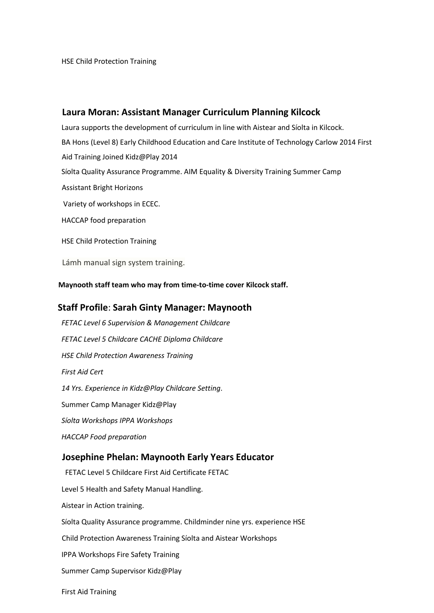### **Laura Moran: Assistant Manager Curriculum Planning Kilcock**

Laura supports the development of curriculum in line with Aistear and Síolta in Kilcock. BA Hons (Level 8) Early Childhood Education and Care Institute of Technology Carlow 2014 First Aid Training Joined Kidz@Play 2014 Síolta Quality Assurance Programme. AIM Equality & Diversity Training Summer Camp Assistant Bright Horizons Variety of workshops in ECEC. HACCAP food preparation HSE Child Protection Training

Lámh manual sign system training.

**Maynooth staff team who may from time-to-time cover Kilcock staff.** 

### **Staff Profile**: **Sarah Ginty Manager: Maynooth**

*FETAC Level 6 Supervision & Management Childcare FETAC Level 5 Childcare CACHE Diploma Childcare HSE Child Protection Awareness Training First Aid Cert 14 Yrs. Experience in Kidz@Play Childcare Setting*. Summer Camp Manager Kidz@Play *Síolta Workshops IPPA Workshops HACCAP Food preparation* 

#### **Josephine Phelan: Maynooth Early Years Educator**

FETAC Level 5 Childcare First Aid Certificate FETAC Level 5 Health and Safety Manual Handling. Aistear in Action training. Síolta Quality Assurance programme. Childminder nine yrs. experience HSE Child Protection Awareness Training Síolta and Aistear Workshops IPPA Workshops Fire Safety Training Summer Camp Supervisor Kidz@Play

First Aid Training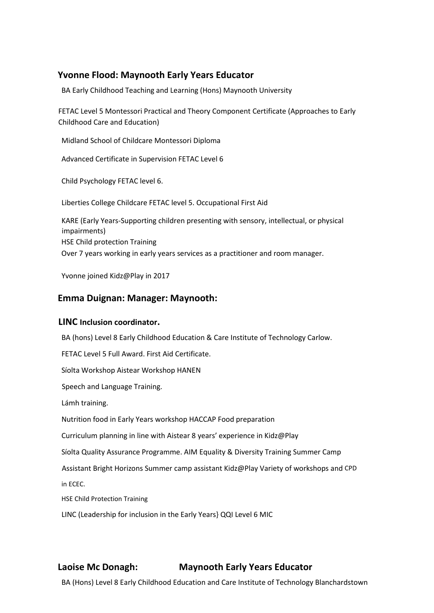# **Yvonne Flood: Maynooth Early Years Educator**

BA Early Childhood Teaching and Learning (Hons) Maynooth University

FETAC Level 5 Montessori Practical and Theory Component Certificate (Approaches to Early Childhood Care and Education)

Midland School of Childcare Montessori Diploma

Advanced Certificate in Supervision FETAC Level 6

Child Psychology FETAC level 6.

Liberties College Childcare FETAC level 5. Occupational First Aid

KARE (Early Years-Supporting children presenting with sensory, intellectual, or physical impairments) HSE Child protection Training Over 7 years working in early years services as a practitioner and room manager.

Yvonne joined Kidz@Play in 2017

### **Emma Duignan: Manager: Maynooth:**

#### **LINC Inclusion coordinator.**

BA (hons) Level 8 Early Childhood Education & Care Institute of Technology Carlow.

FETAC Level 5 Full Award. First Aid Certificate.

Síolta Workshop Aistear Workshop HANEN

Speech and Language Training.

Lámh training.

Nutrition food in Early Years workshop HACCAP Food preparation

Curriculum planning in line with Aistear 8 years' experience in Kidz@Play

Síolta Quality Assurance Programme. AIM Equality & Diversity Training Summer Camp

Assistant Bright Horizons Summer camp assistant Kidz@Play Variety of workshops and CPD

in ECEC.

HSE Child Protection Training

LINC (Leadership for inclusion in the Early Years} QQI Level 6 MIC

# **Laoise Mc Donagh: Maynooth Early Years Educator**

BA (Hons) Level 8 Early Childhood Education and Care Institute of Technology Blanchardstown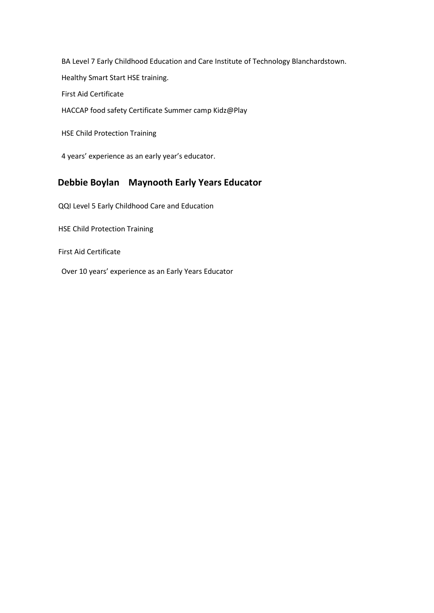BA Level 7 Early Childhood Education and Care Institute of Technology Blanchardstown. Healthy Smart Start HSE training. First Aid Certificate HACCAP food safety Certificate Summer camp Kidz@Play

HSE Child Protection Training

4 years' experience as an early year's educator.

# **Debbie Boylan Maynooth Early Years Educator**

QQI Level 5 Early Childhood Care and Education

HSE Child Protection Training

First Aid Certificate

Over 10 years' experience as an Early Years Educator